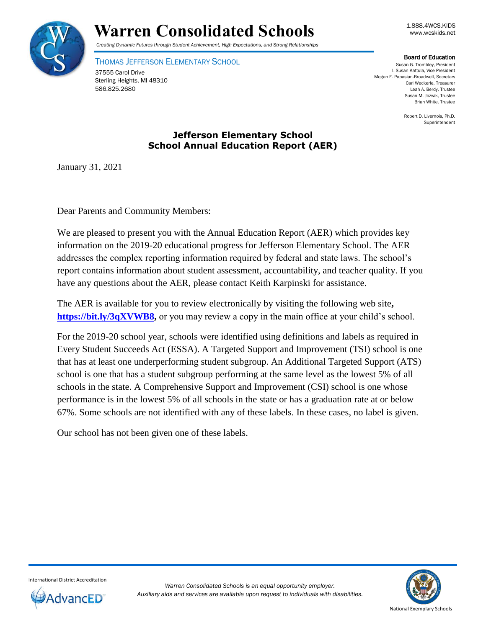

# Warren Consolidated Schools **Warren Consolidated Schools**

*Creating Dynamic Futures through Student Achievement, High Expectations, and Strong Relationships*

THOMAS JEFFERSON ELEMENTARY SCHOOL

37555 Carol Drive Sterling Heights, MI 48310 586.825.2680

Board of Education

Susan G. Trombley, President I. Susan Kattula, Vice President Megan E. Papasian-Broadwell, Secretary Carl Weckerle, Treasurer Leah A. Berdy, Trustee Susan M. Jozwik, Trustee Brian White, Trustee

> Robert D. Livernois, Ph.D. Superintendent

## **Jefferson Elementary School School Annual Education Report (AER)**

January 31, 2021

Dear Parents and Community Members:

We are pleased to present you with the Annual Education Report (AER) which provides key information on the 2019-20 educational progress for Jefferson Elementary School. The AER addresses the complex reporting information required by federal and state laws. The school's report contains information about student assessment, accountability, and teacher quality. If you have any questions about the AER, please contact Keith Karpinski for assistance.

The AER is available for you to review electronically by visiting the following web site**, [https://bit.ly/3qXVWB8,](https://bit.ly/3qXVWB8)** or you may review a copy in the main office at your child's school.

For the 2019-20 school year, schools were identified using definitions and labels as required in Every Student Succeeds Act (ESSA). A Targeted Support and Improvement (TSI) school is one that has at least one underperforming student subgroup. An Additional Targeted Support (ATS) school is one that has a student subgroup performing at the same level as the lowest 5% of all schools in the state. A Comprehensive Support and Improvement (CSI) school is one whose performance is in the lowest 5% of all schools in the state or has a graduation rate at or below 67%. Some schools are not identified with any of these labels. In these cases, no label is given.

Our school has not been given one of these labels.



International District Accreditation

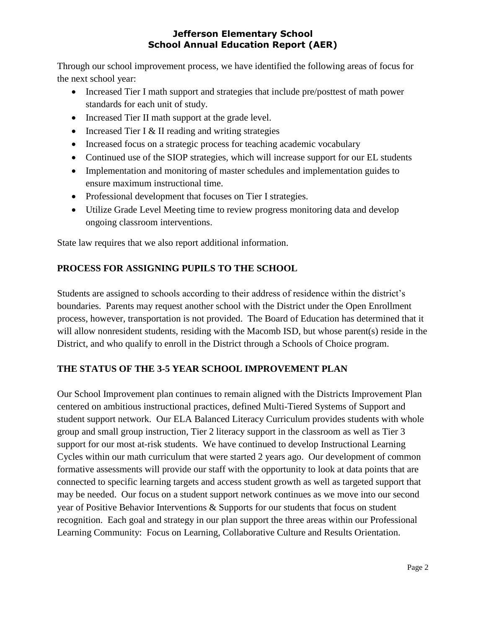Through our school improvement process, we have identified the following areas of focus for the next school year:

- Increased Tier I math support and strategies that include pre/posttest of math power standards for each unit of study.
- Increased Tier II math support at the grade level.
- Increased Tier I  $&$  II reading and writing strategies
- Increased focus on a strategic process for teaching academic vocabulary
- Continued use of the SIOP strategies, which will increase support for our EL students
- Implementation and monitoring of master schedules and implementation guides to ensure maximum instructional time.
- Professional development that focuses on Tier I strategies.
- Utilize Grade Level Meeting time to review progress monitoring data and develop ongoing classroom interventions.

State law requires that we also report additional information.

# **PROCESS FOR ASSIGNING PUPILS TO THE SCHOOL**

Students are assigned to schools according to their address of residence within the district's boundaries. Parents may request another school with the District under the Open Enrollment process, however, transportation is not provided. The Board of Education has determined that it will allow nonresident students, residing with the Macomb ISD, but whose parent(s) reside in the District, and who qualify to enroll in the District through a Schools of Choice program.

# **THE STATUS OF THE 3-5 YEAR SCHOOL IMPROVEMENT PLAN**

Our School Improvement plan continues to remain aligned with the Districts Improvement Plan centered on ambitious instructional practices, defined Multi-Tiered Systems of Support and student support network. Our ELA Balanced Literacy Curriculum provides students with whole group and small group instruction, Tier 2 literacy support in the classroom as well as Tier 3 support for our most at-risk students. We have continued to develop Instructional Learning Cycles within our math curriculum that were started 2 years ago. Our development of common formative assessments will provide our staff with the opportunity to look at data points that are connected to specific learning targets and access student growth as well as targeted support that may be needed. Our focus on a student support network continues as we move into our second year of Positive Behavior Interventions & Supports for our students that focus on student recognition. Each goal and strategy in our plan support the three areas within our Professional Learning Community: Focus on Learning, Collaborative Culture and Results Orientation.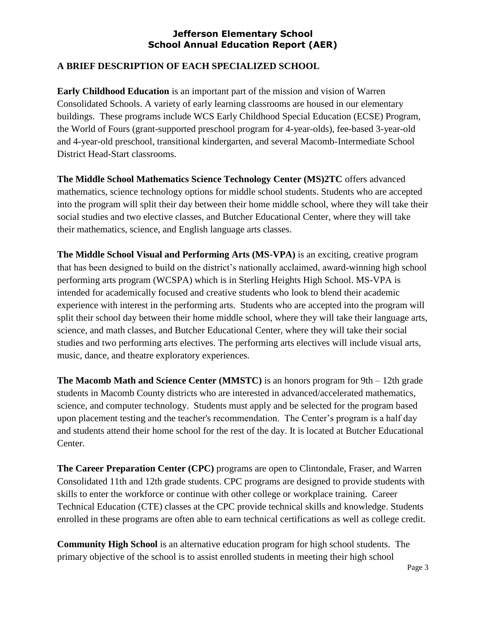#### **A BRIEF DESCRIPTION OF EACH SPECIALIZED SCHOOL**

**Early Childhood Education** is an important part of the mission and vision of Warren Consolidated Schools. A variety of early learning classrooms are housed in our elementary buildings. These programs include WCS Early Childhood Special Education (ECSE) Program, the World of Fours (grant-supported preschool program for 4-year-olds), fee-based 3-year-old and 4-year-old preschool, transitional kindergarten, and several Macomb-Intermediate School District Head-Start classrooms.

**The Middle School Mathematics Science Technology Center (MS)2TC** offers advanced mathematics, science technology options for middle school students. Students who are accepted into the program will split their day between their home middle school, where they will take their social studies and two elective classes, and Butcher Educational Center, where they will take their mathematics, science, and English language arts classes.

**The Middle School Visual and Performing Arts (MS-VPA)** is an exciting, creative program that has been designed to build on the district's nationally acclaimed, award-winning high school performing arts program (WCSPA) which is in Sterling Heights High School. MS-VPA is intended for academically focused and creative students who look to blend their academic experience with interest in the performing arts. Students who are accepted into the program will split their school day between their home middle school, where they will take their language arts, science, and math classes, and Butcher Educational Center, where they will take their social studies and two performing arts electives. The performing arts electives will include visual arts, music, dance, and theatre exploratory experiences.

**The Macomb Math and Science Center (MMSTC)** is an honors program for 9th – 12th grade students in Macomb County districts who are interested in advanced/accelerated mathematics, science, and computer technology. Students must apply and be selected for the program based upon placement testing and the teacher's recommendation. The Center's program is a half day and students attend their home school for the rest of the day. It is located at Butcher Educational Center.

**The Career Preparation Center (CPC)** programs are open to Clintondale, Fraser, and Warren Consolidated 11th and 12th grade students. CPC programs are designed to provide students with skills to enter the workforce or continue with other college or workplace training. Career Technical Education (CTE) classes at the CPC provide technical skills and knowledge. Students enrolled in these programs are often able to earn technical certifications as well as college credit.

**Community High School** is an alternative education program for high school students. The primary objective of the school is to assist enrolled students in meeting their high school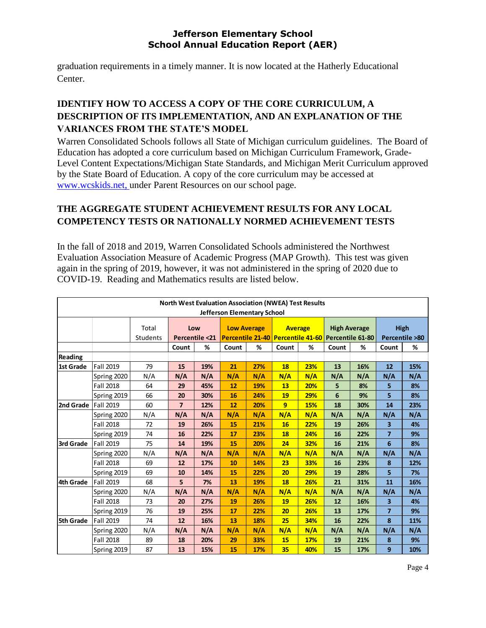graduation requirements in a timely manner. It is now located at the Hatherly Educational Center.

# **IDENTIFY HOW TO ACCESS A COPY OF THE CORE CURRICULUM, A DESCRIPTION OF ITS IMPLEMENTATION, AND AN EXPLANATION OF THE VARIANCES FROM THE STATE'S MODEL**

Warren Consolidated Schools follows all State of Michigan curriculum guidelines. The Board of Education has adopted a core curriculum based on Michigan Curriculum Framework, Grade-Level Content Expectations/Michigan State Standards, and Michigan Merit Curriculum approved by the State Board of Education. A copy of the core curriculum may be accessed at [www.wcskids.net,](http://www.wcskids.net/) under Parent Resources on our school page.

# **THE AGGREGATE STUDENT ACHIEVEMENT RESULTS FOR ANY LOCAL COMPETENCY TESTS OR NATIONALLY NORMED ACHIEVEMENT TESTS**

In the fall of 2018 and 2019, Warren Consolidated Schools administered the Northwest Evaluation Association Measure of Academic Progress (MAP Growth). This test was given again in the spring of 2019, however, it was not administered in the spring of 2020 due to COVID-19. Reading and Mathematics results are listed below.

| <b>North West Evaluation Association (NWEA) Test Results</b><br>Jefferson Elementary School |                  |                   |                       |     |                                                                          |     |                |            |                     |     |                        |     |
|---------------------------------------------------------------------------------------------|------------------|-------------------|-----------------------|-----|--------------------------------------------------------------------------|-----|----------------|------------|---------------------|-----|------------------------|-----|
|                                                                                             |                  | Total<br>Students | Low<br>Percentile <21 |     | <b>Low Average</b><br>Percentile 21-40 Percentile 41-60 Percentile 61-80 |     | <b>Average</b> |            | <b>High Average</b> |     | High<br>Percentile >80 |     |
|                                                                                             |                  |                   | Count                 | %   | Count                                                                    | %   | Count          | %          | Count               | %   | Count                  | %   |
| Reading                                                                                     |                  |                   |                       |     |                                                                          |     |                |            |                     |     |                        |     |
| 1st Grade                                                                                   | Fall 2019        | 79                | 15                    | 19% | 21                                                                       | 27% | 18             | 23%        | 13                  | 16% | 12                     | 15% |
|                                                                                             | Spring 2020      | N/A               | N/A                   | N/A | N/A                                                                      | N/A | N/A            | N/A        | N/A                 | N/A | N/A                    | N/A |
|                                                                                             | <b>Fall 2018</b> | 64                | 29                    | 45% | 12                                                                       | 19% | 13             | 20%        | 5                   | 8%  | 5                      | 8%  |
|                                                                                             | Spring 2019      | 66                | 20                    | 30% | 16                                                                       | 24% | 19             | 29%        | 6                   | 9%  | 5                      | 8%  |
| 2nd Grade                                                                                   | <b>Fall 2019</b> | 60                | $\overline{7}$        | 12% | 12                                                                       | 20% | 9              | <b>15%</b> | 18                  | 30% | 14                     | 23% |
|                                                                                             | Spring 2020      | N/A               | N/A                   | N/A | N/A                                                                      | N/A | N/A            | N/A        | N/A                 | N/A | N/A                    | N/A |
|                                                                                             | Fall 2018        | 72                | 19                    | 26% | 15                                                                       | 21% | 16             | 22%        | 19                  | 26% | 3                      | 4%  |
|                                                                                             | Spring 2019      | 74                | 16                    | 22% | 17                                                                       | 23% | 18             | 24%        | 16                  | 22% | $\overline{7}$         | 9%  |
| 3rd Grade                                                                                   | Fall 2019        | 75                | 14                    | 19% | 15                                                                       | 20% | 24             | 32%        | 16                  | 21% | 6                      | 8%  |
|                                                                                             | Spring 2020      | N/A               | N/A                   | N/A | N/A                                                                      | N/A | N/A            | N/A        | N/A                 | N/A | N/A                    | N/A |
|                                                                                             | <b>Fall 2018</b> | 69                | 12                    | 17% | 10                                                                       | 14% | 23             | 33%        | 16                  | 23% | 8                      | 12% |
|                                                                                             | Spring 2019      | 69                | 10                    | 14% | 15                                                                       | 22% | 20             | 29%        | 19                  | 28% | 5                      | 7%  |
| 4th Grade                                                                                   | Fall 2019        | 68                | 5                     | 7%  | 13                                                                       | 19% | 18             | 26%        | 21                  | 31% | 11                     | 16% |
|                                                                                             | Spring 2020      | N/A               | N/A                   | N/A | N/A                                                                      | N/A | N/A            | N/A        | N/A                 | N/A | N/A                    | N/A |
|                                                                                             | <b>Fall 2018</b> | 73                | 20                    | 27% | 19                                                                       | 26% | 19             | 26%        | 12                  | 16% | 3                      | 4%  |
|                                                                                             | Spring 2019      | 76                | 19                    | 25% | 17                                                                       | 22% | 20             | 26%        | 13                  | 17% | $\overline{7}$         | 9%  |
| 5th Grade                                                                                   | Fall 2019        | 74                | 12                    | 16% | 13                                                                       | 18% | 25             | 34%        | 16                  | 22% | 8                      | 11% |
|                                                                                             | Spring 2020      | N/A               | N/A                   | N/A | N/A                                                                      | N/A | N/A            | N/A        | N/A                 | N/A | N/A                    | N/A |
|                                                                                             | Fall 2018        | 89                | 18                    | 20% | 29                                                                       | 33% | 15             | 17%        | 19                  | 21% | 8                      | 9%  |
|                                                                                             | Spring 2019      | 87                | 13                    | 15% | 15                                                                       | 17% | 35             | 40%        | 15                  | 17% | 9                      | 10% |